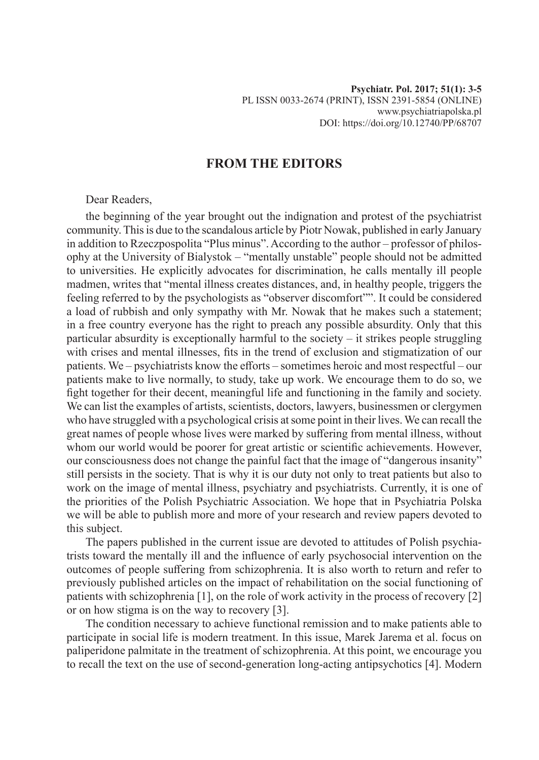## **FROM THE EDITORS**

## Dear Readers,

the beginning of the year brought out the indignation and protest of the psychiatrist community. This is due to the scandalous article by Piotr Nowak, published in early January in addition to Rzeczpospolita "Plus minus". According to the author – professor of philosophy at the University of Bialystok – "mentally unstable" people should not be admitted to universities. He explicitly advocates for discrimination, he calls mentally ill people madmen, writes that "mental illness creates distances, and, in healthy people, triggers the feeling referred to by the psychologists as "observer discomfort"". It could be considered a load of rubbish and only sympathy with Mr. Nowak that he makes such a statement; in a free country everyone has the right to preach any possible absurdity. Only that this particular absurdity is exceptionally harmful to the society – it strikes people struggling with crises and mental illnesses, fits in the trend of exclusion and stigmatization of our patients. We – psychiatrists know the efforts – sometimes heroic and most respectful – our patients make to live normally, to study, take up work. We encourage them to do so, we fight together for their decent, meaningful life and functioning in the family and society. We can list the examples of artists, scientists, doctors, lawyers, businessmen or clergymen who have struggled with a psychological crisis at some point in their lives. We can recall the great names of people whose lives were marked by suffering from mental illness, without whom our world would be poorer for great artistic or scientific achievements. However, our consciousness does not change the painful fact that the image of "dangerous insanity" still persists in the society. That is why it is our duty not only to treat patients but also to work on the image of mental illness, psychiatry and psychiatrists. Currently, it is one of the priorities of the Polish Psychiatric Association. We hope that in Psychiatria Polska we will be able to publish more and more of your research and review papers devoted to this subject.

The papers published in the current issue are devoted to attitudes of Polish psychiatrists toward the mentally ill and the influence of early psychosocial intervention on the outcomes of people suffering from schizophrenia. It is also worth to return and refer to previously published articles on the impact of rehabilitation on the social functioning of patients with schizophrenia [1], on the role of work activity in the process of recovery [2] or on how stigma is on the way to recovery [3].

The condition necessary to achieve functional remission and to make patients able to participate in social life is modern treatment. In this issue, Marek Jarema et al. focus on paliperidone palmitate in the treatment of schizophrenia. At this point, we encourage you to recall the text on the use of second-generation long-acting antipsychotics [4]. Modern